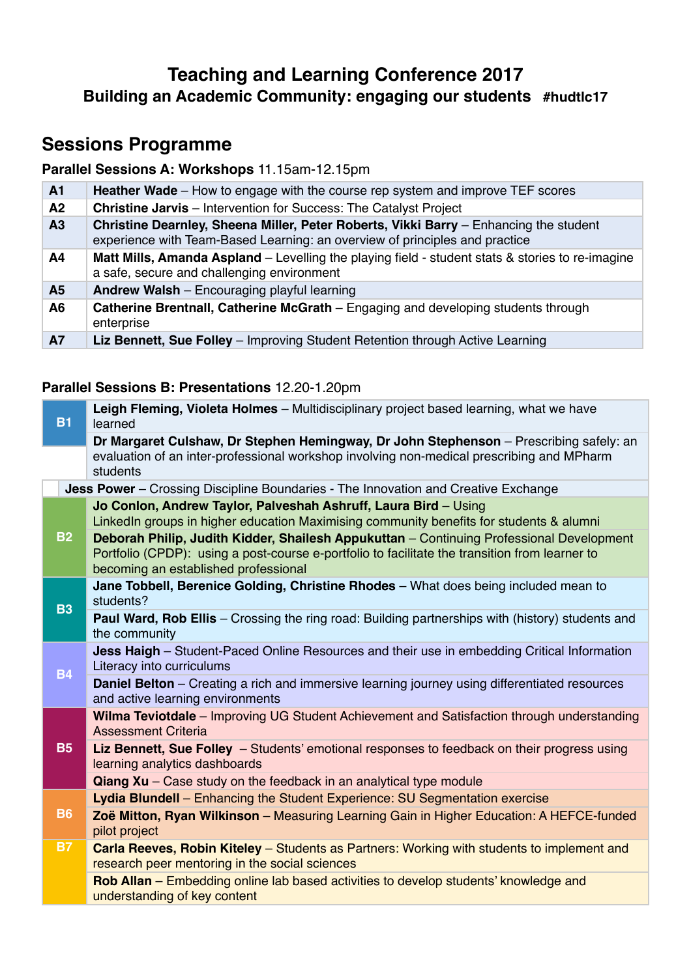# **Teaching and Learning Conference 2017 Building an Academic Community: engaging our students #hudtlc17**

# **Sessions Programme**

## **Parallel Sessions A: Workshops** 11.15am-12.15pm

| A <sub>1</sub> | <b>Heather Wade</b> – How to engage with the course rep system and improve TEF scores                                                                                |
|----------------|----------------------------------------------------------------------------------------------------------------------------------------------------------------------|
| A <sub>2</sub> | <b>Christine Jarvis</b> - Intervention for Success: The Catalyst Project                                                                                             |
| A3             | Christine Dearnley, Sheena Miller, Peter Roberts, Vikki Barry - Enhancing the student<br>experience with Team-Based Learning: an overview of principles and practice |
| A <sub>4</sub> | Matt Mills, Amanda Aspland - Levelling the playing field - student stats & stories to re-imagine<br>a safe, secure and challenging environment                       |
| A <sub>5</sub> | <b>Andrew Walsh</b> – Encouraging playful learning                                                                                                                   |
| A <sub>6</sub> | Catherine Brentnall, Catherine McGrath – Engaging and developing students through<br>enterprise                                                                      |
| <b>A7</b>      | Liz Bennett, Sue Folley - Improving Student Retention through Active Learning                                                                                        |

## **Parallel Sessions B: Presentations** 12.20-1.20pm

| Dr Margaret Culshaw, Dr Stephen Hemingway, Dr John Stephenson - Prescribing safely: an<br>evaluation of an inter-professional workshop involving non-medical prescribing and MPharm<br>students<br>Jess Power - Crossing Discipline Boundaries - The Innovation and Creative Exchange<br>Jo Conlon, Andrew Taylor, Palveshah Ashruff, Laura Bird - Using<br>LinkedIn groups in higher education Maximising community benefits for students & alumni<br><b>B2</b><br>Deborah Philip, Judith Kidder, Shailesh Appukuttan - Continuing Professional Development<br>Portfolio (CPDP): using a post-course e-portfolio to facilitate the transition from learner to<br>becoming an established professional<br>Jane Tobbell, Berenice Golding, Christine Rhodes - What does being included mean to<br>students?<br><b>B3</b><br><b>Paul Ward, Rob Ellis</b> – Crossing the ring road: Building partnerships with (history) students and<br>the community<br><b>Jess Haigh</b> – Student-Paced Online Resources and their use in embedding Critical Information<br>Literacy into curriculums<br><b>B4</b><br><b>Daniel Belton</b> – Creating a rich and immersive learning journey using differentiated resources<br>and active learning environments<br>Wilma Teviotdale - Improving UG Student Achievement and Satisfaction through understanding<br><b>Assessment Criteria</b><br><b>B5</b><br>Liz Bennett, Sue Folley - Students' emotional responses to feedback on their progress using<br>learning analytics dashboards<br>$\alpha$ iang Xu – Case study on the feedback in an analytical type module<br>Lydia Blundell - Enhancing the Student Experience: SU Segmentation exercise<br><b>B6</b><br>Zoë Mitton, Ryan Wilkinson - Measuring Learning Gain in Higher Education: A HEFCE-funded<br>pilot project<br><b>B7</b><br>Carla Reeves, Robin Kiteley – Students as Partners: Working with students to implement and<br>research peer mentoring in the social sciences<br>Rob Allan – Embedding online lab based activities to develop students' knowledge and<br>understanding of key content | <b>B1</b> | Leigh Fleming, Violeta Holmes - Multidisciplinary project based learning, what we have<br>learned |  |
|------------------------------------------------------------------------------------------------------------------------------------------------------------------------------------------------------------------------------------------------------------------------------------------------------------------------------------------------------------------------------------------------------------------------------------------------------------------------------------------------------------------------------------------------------------------------------------------------------------------------------------------------------------------------------------------------------------------------------------------------------------------------------------------------------------------------------------------------------------------------------------------------------------------------------------------------------------------------------------------------------------------------------------------------------------------------------------------------------------------------------------------------------------------------------------------------------------------------------------------------------------------------------------------------------------------------------------------------------------------------------------------------------------------------------------------------------------------------------------------------------------------------------------------------------------------------------------------------------------------------------------------------------------------------------------------------------------------------------------------------------------------------------------------------------------------------------------------------------------------------------------------------------------------------------------------------------------------------------------------------------------------------------------------------------------------------------------------------------|-----------|---------------------------------------------------------------------------------------------------|--|
|                                                                                                                                                                                                                                                                                                                                                                                                                                                                                                                                                                                                                                                                                                                                                                                                                                                                                                                                                                                                                                                                                                                                                                                                                                                                                                                                                                                                                                                                                                                                                                                                                                                                                                                                                                                                                                                                                                                                                                                                                                                                                                      |           |                                                                                                   |  |
|                                                                                                                                                                                                                                                                                                                                                                                                                                                                                                                                                                                                                                                                                                                                                                                                                                                                                                                                                                                                                                                                                                                                                                                                                                                                                                                                                                                                                                                                                                                                                                                                                                                                                                                                                                                                                                                                                                                                                                                                                                                                                                      |           |                                                                                                   |  |
|                                                                                                                                                                                                                                                                                                                                                                                                                                                                                                                                                                                                                                                                                                                                                                                                                                                                                                                                                                                                                                                                                                                                                                                                                                                                                                                                                                                                                                                                                                                                                                                                                                                                                                                                                                                                                                                                                                                                                                                                                                                                                                      |           |                                                                                                   |  |
|                                                                                                                                                                                                                                                                                                                                                                                                                                                                                                                                                                                                                                                                                                                                                                                                                                                                                                                                                                                                                                                                                                                                                                                                                                                                                                                                                                                                                                                                                                                                                                                                                                                                                                                                                                                                                                                                                                                                                                                                                                                                                                      |           |                                                                                                   |  |
|                                                                                                                                                                                                                                                                                                                                                                                                                                                                                                                                                                                                                                                                                                                                                                                                                                                                                                                                                                                                                                                                                                                                                                                                                                                                                                                                                                                                                                                                                                                                                                                                                                                                                                                                                                                                                                                                                                                                                                                                                                                                                                      |           |                                                                                                   |  |
|                                                                                                                                                                                                                                                                                                                                                                                                                                                                                                                                                                                                                                                                                                                                                                                                                                                                                                                                                                                                                                                                                                                                                                                                                                                                                                                                                                                                                                                                                                                                                                                                                                                                                                                                                                                                                                                                                                                                                                                                                                                                                                      |           |                                                                                                   |  |
|                                                                                                                                                                                                                                                                                                                                                                                                                                                                                                                                                                                                                                                                                                                                                                                                                                                                                                                                                                                                                                                                                                                                                                                                                                                                                                                                                                                                                                                                                                                                                                                                                                                                                                                                                                                                                                                                                                                                                                                                                                                                                                      |           |                                                                                                   |  |
|                                                                                                                                                                                                                                                                                                                                                                                                                                                                                                                                                                                                                                                                                                                                                                                                                                                                                                                                                                                                                                                                                                                                                                                                                                                                                                                                                                                                                                                                                                                                                                                                                                                                                                                                                                                                                                                                                                                                                                                                                                                                                                      |           |                                                                                                   |  |
|                                                                                                                                                                                                                                                                                                                                                                                                                                                                                                                                                                                                                                                                                                                                                                                                                                                                                                                                                                                                                                                                                                                                                                                                                                                                                                                                                                                                                                                                                                                                                                                                                                                                                                                                                                                                                                                                                                                                                                                                                                                                                                      |           |                                                                                                   |  |
|                                                                                                                                                                                                                                                                                                                                                                                                                                                                                                                                                                                                                                                                                                                                                                                                                                                                                                                                                                                                                                                                                                                                                                                                                                                                                                                                                                                                                                                                                                                                                                                                                                                                                                                                                                                                                                                                                                                                                                                                                                                                                                      |           |                                                                                                   |  |
|                                                                                                                                                                                                                                                                                                                                                                                                                                                                                                                                                                                                                                                                                                                                                                                                                                                                                                                                                                                                                                                                                                                                                                                                                                                                                                                                                                                                                                                                                                                                                                                                                                                                                                                                                                                                                                                                                                                                                                                                                                                                                                      |           |                                                                                                   |  |
|                                                                                                                                                                                                                                                                                                                                                                                                                                                                                                                                                                                                                                                                                                                                                                                                                                                                                                                                                                                                                                                                                                                                                                                                                                                                                                                                                                                                                                                                                                                                                                                                                                                                                                                                                                                                                                                                                                                                                                                                                                                                                                      |           |                                                                                                   |  |
|                                                                                                                                                                                                                                                                                                                                                                                                                                                                                                                                                                                                                                                                                                                                                                                                                                                                                                                                                                                                                                                                                                                                                                                                                                                                                                                                                                                                                                                                                                                                                                                                                                                                                                                                                                                                                                                                                                                                                                                                                                                                                                      |           |                                                                                                   |  |
|                                                                                                                                                                                                                                                                                                                                                                                                                                                                                                                                                                                                                                                                                                                                                                                                                                                                                                                                                                                                                                                                                                                                                                                                                                                                                                                                                                                                                                                                                                                                                                                                                                                                                                                                                                                                                                                                                                                                                                                                                                                                                                      |           |                                                                                                   |  |
|                                                                                                                                                                                                                                                                                                                                                                                                                                                                                                                                                                                                                                                                                                                                                                                                                                                                                                                                                                                                                                                                                                                                                                                                                                                                                                                                                                                                                                                                                                                                                                                                                                                                                                                                                                                                                                                                                                                                                                                                                                                                                                      |           |                                                                                                   |  |
|                                                                                                                                                                                                                                                                                                                                                                                                                                                                                                                                                                                                                                                                                                                                                                                                                                                                                                                                                                                                                                                                                                                                                                                                                                                                                                                                                                                                                                                                                                                                                                                                                                                                                                                                                                                                                                                                                                                                                                                                                                                                                                      |           |                                                                                                   |  |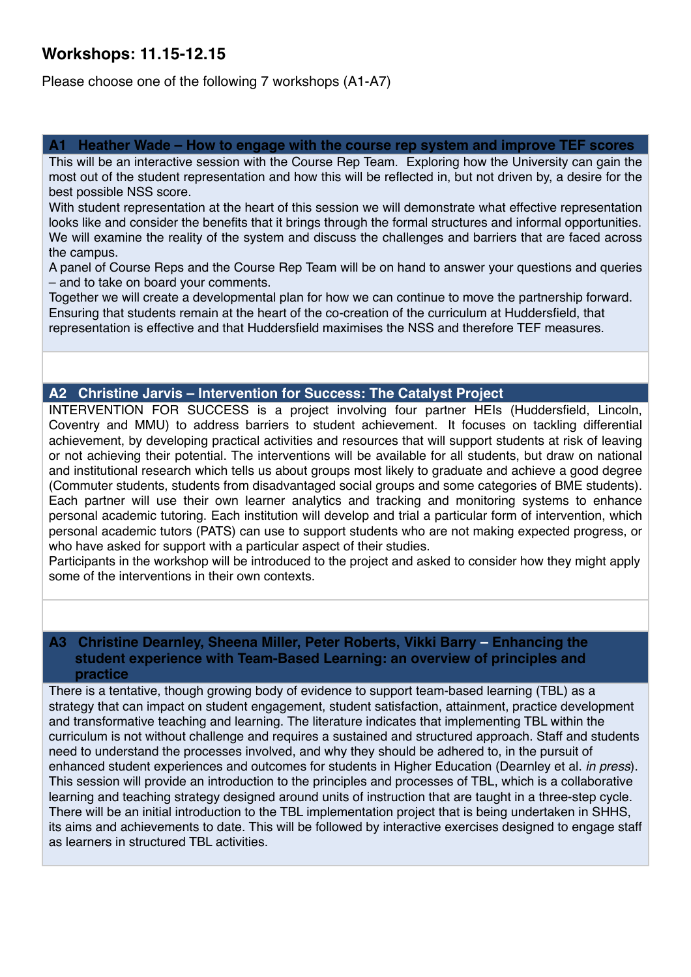## **Workshops: 11.15-12.15**

Please choose one of the following 7 workshops (A1-A7)

#### Heather Wade – How to engage with the course rep system and improve TEF scores

This will be an interactive session with the Course Rep Team. Exploring how the University can gain the most out of the student representation and how this will be reflected in, but not driven by, a desire for the best possible NSS score.

With student representation at the heart of this session we will demonstrate what effective representation looks like and consider the benefits that it brings through the formal structures and informal opportunities. We will examine the reality of the system and discuss the challenges and barriers that are faced across the campus.

A panel of Course Reps and the Course Rep Team will be on hand to answer your questions and queries – and to take on board your comments.

Together we will create a developmental plan for how we can continue to move the partnership forward. Ensuring that students remain at the heart of the co-creation of the curriculum at Huddersfield, that representation is effective and that Huddersfield maximises the NSS and therefore TEF measures.

#### **A2 Christine Jarvis – Intervention for Success: The Catalyst Project**

INTERVENTION FOR SUCCESS is a project involving four partner HEIs (Huddersfield, Lincoln, Coventry and MMU) to address barriers to student achievement. It focuses on tackling differential achievement, by developing practical activities and resources that will support students at risk of leaving or not achieving their potential. The interventions will be available for all students, but draw on national and institutional research which tells us about groups most likely to graduate and achieve a good degree (Commuter students, students from disadvantaged social groups and some categories of BME students). Each partner will use their own learner analytics and tracking and monitoring systems to enhance personal academic tutoring. Each institution will develop and trial a particular form of intervention, which personal academic tutors (PATS) can use to support students who are not making expected progress, or who have asked for support with a particular aspect of their studies.

Participants in the workshop will be introduced to the project and asked to consider how they might apply some of the interventions in their own contexts.

#### **A3 Christine Dearnley, Sheena Miller, Peter Roberts, Vikki Barry – Enhancing the student experience with Team-Based Learning: an overview of principles and practice**

There is a tentative, though growing body of evidence to support team-based learning (TBL) as a strategy that can impact on student engagement, student satisfaction, attainment, practice development and transformative teaching and learning. The literature indicates that implementing TBL within the curriculum is not without challenge and requires a sustained and structured approach. Staff and students need to understand the processes involved, and why they should be adhered to, in the pursuit of enhanced student experiences and outcomes for students in Higher Education (Dearnley et al. *in press*). This session will provide an introduction to the principles and processes of TBL, which is a collaborative learning and teaching strategy designed around units of instruction that are taught in a three-step cycle. There will be an initial introduction to the TBL implementation project that is being undertaken in SHHS, its aims and achievements to date. This will be followed by interactive exercises designed to engage staff as learners in structured TBL activities.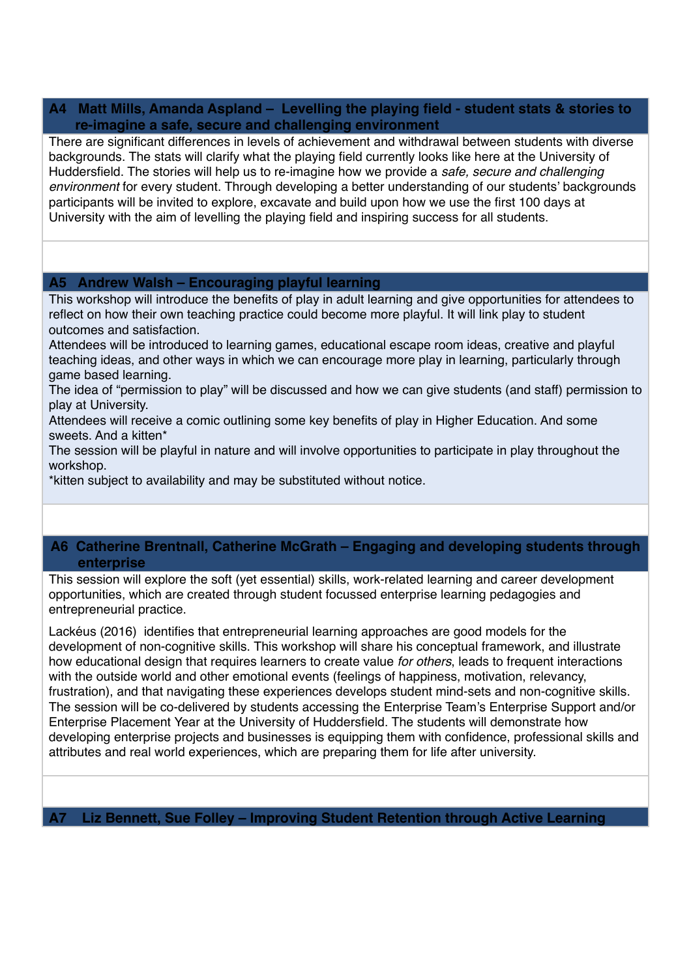#### **A4 Matt Mills, Amanda Aspland – Levelling the playing field - student stats & stories to re-imagine a safe, secure and challenging environment**

There are significant differences in levels of achievement and withdrawal between students with diverse backgrounds. The stats will clarify what the playing field currently looks like here at the University of Huddersfield. The stories will help us to re-imagine how we provide a *safe, secure and challenging environment* for every student. Through developing a better understanding of our students' backgrounds participants will be invited to explore, excavate and build upon how we use the first 100 days at University with the aim of levelling the playing field and inspiring success for all students.

#### **A5 Andrew Walsh – Encouraging playful learning**

This workshop will introduce the benefits of play in adult learning and give opportunities for attendees to reflect on how their own teaching practice could become more playful. It will link play to student outcomes and satisfaction.

Attendees will be introduced to learning games, educational escape room ideas, creative and playful teaching ideas, and other ways in which we can encourage more play in learning, particularly through game based learning.

The idea of "permission to play" will be discussed and how we can give students (and staff) permission to play at University.

Attendees will receive a comic outlining some key benefits of play in Higher Education. And some sweets. And a kitten\*

The session will be playful in nature and will involve opportunities to participate in play throughout the workshop.

\*kitten subject to availability and may be substituted without notice.

### **A6 Catherine Brentnall, Catherine McGrath – Engaging and developing students through enterprise**

This session will explore the soft (yet essential) skills, work-related learning and career development opportunities, which are created through student focussed enterprise learning pedagogies and entrepreneurial practice.

Lackéus (2016) identifies that entrepreneurial learning approaches are good models for the development of non-cognitive skills. This workshop will share his conceptual framework, and illustrate how educational design that requires learners to create value *for others*, leads to frequent interactions with the outside world and other emotional events (feelings of happiness, motivation, relevancy, frustration), and that navigating these experiences develops student mind-sets and non-cognitive skills. The session will be co-delivered by students accessing the Enterprise Team's Enterprise Support and/or Enterprise Placement Year at the University of Huddersfield. The students will demonstrate how developing enterprise projects and businesses is equipping them with confidence, professional skills and attributes and real world experiences, which are preparing them for life after university.

**A7 Liz Bennett, Sue Folley – Improving Student Retention through Active Learning**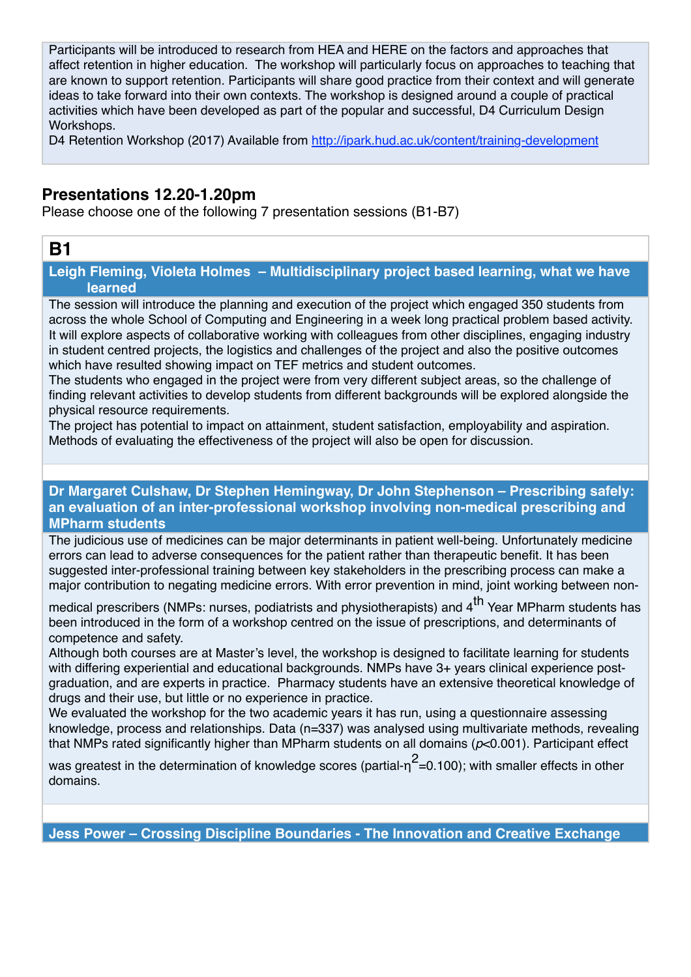Participants will be introduced to research from HEA and HERE on the factors and approaches that affect retention in higher education. The workshop will particularly focus on approaches to teaching that are known to support retention. Participants will share good practice from their context and will generate ideas to take forward into their own contexts. The workshop is designed around a couple of practical activities which have been developed as part of the popular and successful, D4 Curriculum Design Workshops.

D4 Retention Workshop (2017) Available from<http://ipark.hud.ac.uk/content/training-development>

## **Presentations 12.20-1.20pm**

Please choose one of the following 7 presentation sessions (B1-B7)

## **B1**

**Leigh Fleming, Violeta Holmes – Multidisciplinary project based learning, what we have learned** 

The session will introduce the planning and execution of the project which engaged 350 students from across the whole School of Computing and Engineering in a week long practical problem based activity. It will explore aspects of collaborative working with colleagues from other disciplines, engaging industry in student centred projects, the logistics and challenges of the project and also the positive outcomes which have resulted showing impact on TEF metrics and student outcomes.

The students who engaged in the project were from very different subject areas, so the challenge of finding relevant activities to develop students from different backgrounds will be explored alongside the physical resource requirements.

The project has potential to impact on attainment, student satisfaction, employability and aspiration. Methods of evaluating the effectiveness of the project will also be open for discussion.

#### **Dr Margaret Culshaw, Dr Stephen Hemingway, Dr John Stephenson – Prescribing safely: an evaluation of an inter-professional workshop involving non-medical prescribing and MPharm students**

The judicious use of medicines can be major determinants in patient well-being. Unfortunately medicine errors can lead to adverse consequences for the patient rather than therapeutic benefit. It has been suggested inter-professional training between key stakeholders in the prescribing process can make a major contribution to negating medicine errors. With error prevention in mind, joint working between non-

medical prescribers (NMPs: nurses, podiatrists and physiotherapists) and 4<sup>th</sup> Year MPharm students has been introduced in the form of a workshop centred on the issue of prescriptions, and determinants of competence and safety.

Although both courses are at Master's level, the workshop is designed to facilitate learning for students with differing experiential and educational backgrounds. NMPs have 3+ years clinical experience postgraduation, and are experts in practice. Pharmacy students have an extensive theoretical knowledge of drugs and their use, but little or no experience in practice.

We evaluated the workshop for the two academic years it has run, using a questionnaire assessing knowledge, process and relationships. Data (n=337) was analysed using multivariate methods, revealing that NMPs rated significantly higher than MPharm students on all domains (*p*<0.001). Participant effect

was greatest in the determination of knowledge scores (partial- $\eta^2$ =0.100); with smaller effects in other domains.

**Jess Power – Crossing Discipline Boundaries - The Innovation and Creative Exchange**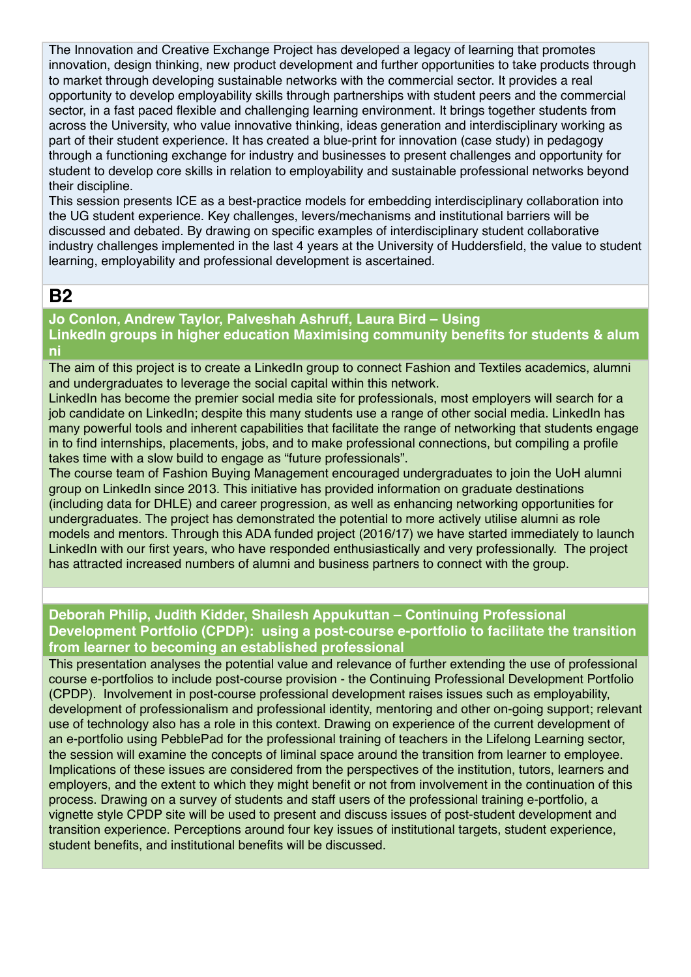The Innovation and Creative Exchange Project has developed a legacy of learning that promotes innovation, design thinking, new product development and further opportunities to take products through to market through developing sustainable networks with the commercial sector. It provides a real opportunity to develop employability skills through partnerships with student peers and the commercial sector, in a fast paced flexible and challenging learning environment. It brings together students from across the University, who value innovative thinking, ideas generation and interdisciplinary working as part of their student experience. It has created a blue-print for innovation (case study) in pedagogy through a functioning exchange for industry and businesses to present challenges and opportunity for student to develop core skills in relation to employability and sustainable professional networks beyond their discipline.

This session presents ICE as a best-practice models for embedding interdisciplinary collaboration into the UG student experience. Key challenges, levers/mechanisms and institutional barriers will be discussed and debated. By drawing on specific examples of interdisciplinary student collaborative industry challenges implemented in the last 4 years at the University of Huddersfield, the value to student learning, employability and professional development is ascertained.

## **B2**

## **Jo Conlon, Andrew Taylor, Palveshah Ashruff, Laura Bird – Using**

**LinkedIn groups in higher education Maximising community benefits for students & alum ni** 

The aim of this project is to create a LinkedIn group to connect Fashion and Textiles academics, alumni and undergraduates to leverage the social capital within this network.

LinkedIn has become the premier social media site for professionals, most employers will search for a job candidate on LinkedIn; despite this many students use a range of other social media. LinkedIn has many powerful tools and inherent capabilities that facilitate the range of networking that students engage in to find internships, placements, jobs, and to make professional connections, but compiling a profile takes time with a slow build to engage as "future professionals".

The course team of Fashion Buying Management encouraged undergraduates to join the UoH alumni group on LinkedIn since 2013. This initiative has provided information on graduate destinations (including data for DHLE) and career progression, as well as enhancing networking opportunities for undergraduates. The project has demonstrated the potential to more actively utilise alumni as role models and mentors. Through this ADA funded project (2016/17) we have started immediately to launch LinkedIn with our first years, who have responded enthusiastically and very professionally. The project has attracted increased numbers of alumni and business partners to connect with the group.

### **Deborah Philip, Judith Kidder, Shailesh Appukuttan – Continuing Professional Development Portfolio (CPDP): using a post-course e-portfolio to facilitate the transition from learner to becoming an established professional**

This presentation analyses the potential value and relevance of further extending the use of professional course e-portfolios to include post-course provision - the Continuing Professional Development Portfolio (CPDP). Involvement in post-course professional development raises issues such as employability, development of professionalism and professional identity, mentoring and other on-going support; relevant use of technology also has a role in this context. Drawing on experience of the current development of an e-portfolio using PebblePad for the professional training of teachers in the Lifelong Learning sector, the session will examine the concepts of liminal space around the transition from learner to employee. Implications of these issues are considered from the perspectives of the institution, tutors, learners and employers, and the extent to which they might benefit or not from involvement in the continuation of this process. Drawing on a survey of students and staff users of the professional training e-portfolio, a vignette style CPDP site will be used to present and discuss issues of post-student development and transition experience. Perceptions around four key issues of institutional targets, student experience, student benefits, and institutional benefits will be discussed.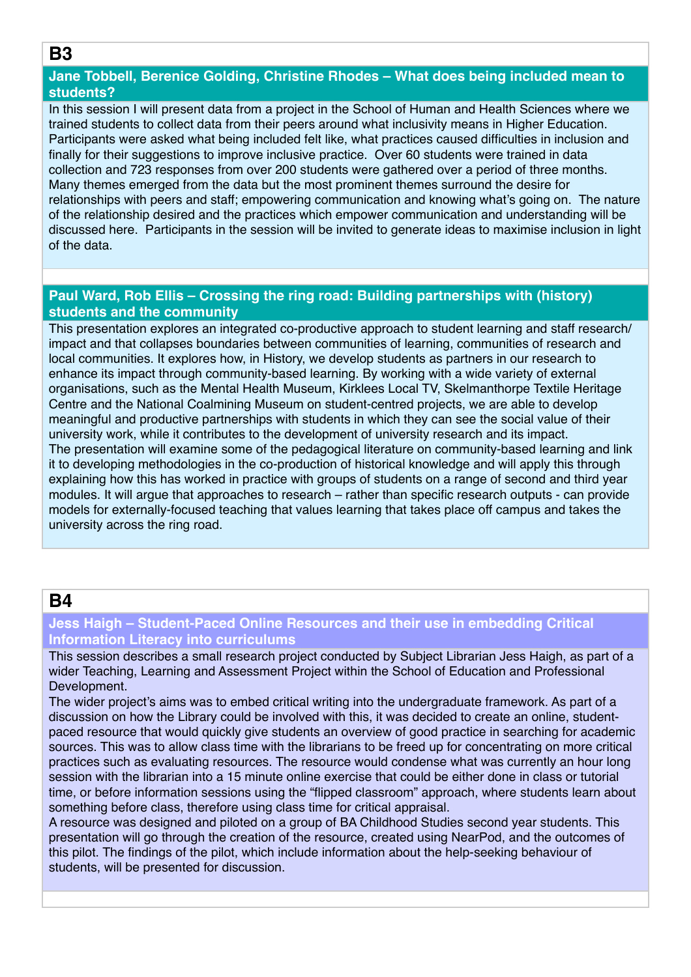### **B3**

### **Jane Tobbell, Berenice Golding, Christine Rhodes – What does being included mean to students?**

In this session I will present data from a project in the School of Human and Health Sciences where we trained students to collect data from their peers around what inclusivity means in Higher Education. Participants were asked what being included felt like, what practices caused difficulties in inclusion and finally for their suggestions to improve inclusive practice. Over 60 students were trained in data collection and 723 responses from over 200 students were gathered over a period of three months. Many themes emerged from the data but the most prominent themes surround the desire for relationships with peers and staff; empowering communication and knowing what's going on. The nature of the relationship desired and the practices which empower communication and understanding will be discussed here. Participants in the session will be invited to generate ideas to maximise inclusion in light of the data.

## **Paul Ward, Rob Ellis – Crossing the ring road: Building partnerships with (history) students and the community**

This presentation explores an integrated co-productive approach to student learning and staff research/ impact and that collapses boundaries between communities of learning, communities of research and local communities. It explores how, in History, we develop students as partners in our research to enhance its impact through community-based learning. By working with a wide variety of external organisations, such as the Mental Health Museum, Kirklees Local TV, Skelmanthorpe Textile Heritage Centre and the National Coalmining Museum on student-centred projects, we are able to develop meaningful and productive partnerships with students in which they can see the social value of their university work, while it contributes to the development of university research and its impact. The presentation will examine some of the pedagogical literature on community-based learning and link it to developing methodologies in the co-production of historical knowledge and will apply this through explaining how this has worked in practice with groups of students on a range of second and third year modules. It will argue that approaches to research – rather than specific research outputs - can provide models for externally-focused teaching that values learning that takes place off campus and takes the university across the ring road.

## **B4**

### **Jess Haigh – Student-Paced Online Resources and their use in embedding Critical Information Literacy into curriculums**

This session describes a small research project conducted by Subject Librarian Jess Haigh, as part of a wider Teaching, Learning and Assessment Project within the School of Education and Professional Development.

The wider project's aims was to embed critical writing into the undergraduate framework. As part of a discussion on how the Library could be involved with this, it was decided to create an online, studentpaced resource that would quickly give students an overview of good practice in searching for academic sources. This was to allow class time with the librarians to be freed up for concentrating on more critical practices such as evaluating resources. The resource would condense what was currently an hour long session with the librarian into a 15 minute online exercise that could be either done in class or tutorial time, or before information sessions using the "flipped classroom" approach, where students learn about something before class, therefore using class time for critical appraisal.

A resource was designed and piloted on a group of BA Childhood Studies second year students. This presentation will go through the creation of the resource, created using NearPod, and the outcomes of this pilot. The findings of the pilot, which include information about the help-seeking behaviour of students, will be presented for discussion.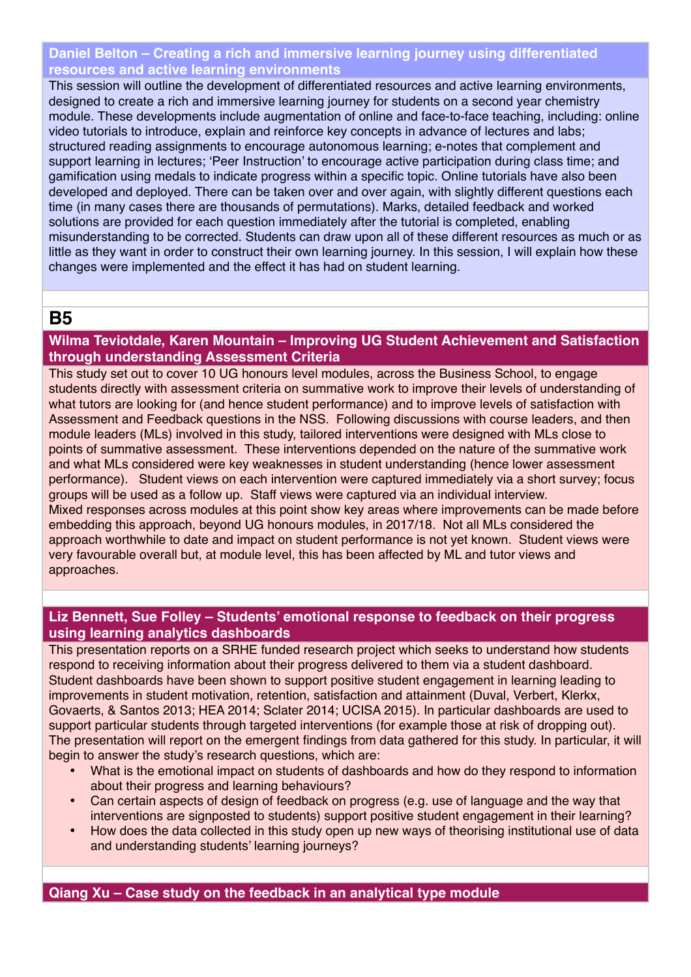### **Daniel Belton – Creating a rich and immersive learning journey using differentiated resources and active learning environments**

This session will outline the development of differentiated resources and active learning environments, designed to create a rich and immersive learning journey for students on a second year chemistry module. These developments include augmentation of online and face-to-face teaching, including: online video tutorials to introduce, explain and reinforce key concepts in advance of lectures and labs; structured reading assignments to encourage autonomous learning; e-notes that complement and support learning in lectures; 'Peer Instruction' to encourage active participation during class time; and gamification using medals to indicate progress within a specific topic. Online tutorials have also been developed and deployed. There can be taken over and over again, with slightly different questions each time (in many cases there are thousands of permutations). Marks, detailed feedback and worked solutions are provided for each question immediately after the tutorial is completed, enabling misunderstanding to be corrected. Students can draw upon all of these different resources as much or as little as they want in order to construct their own learning journey. In this session, I will explain how these changes were implemented and the effect it has had on student learning.

## **B5**

### **Wilma Teviotdale, Karen Mountain – Improving UG Student Achievement and Satisfaction through understanding Assessment Criteria**

This study set out to cover 10 UG honours level modules, across the Business School, to engage students directly with assessment criteria on summative work to improve their levels of understanding of what tutors are looking for (and hence student performance) and to improve levels of satisfaction with Assessment and Feedback questions in the NSS. Following discussions with course leaders, and then module leaders (MLs) involved in this study, tailored interventions were designed with MLs close to points of summative assessment. These interventions depended on the nature of the summative work and what MLs considered were key weaknesses in student understanding (hence lower assessment performance). Student views on each intervention were captured immediately via a short survey; focus groups will be used as a follow up. Staff views were captured via an individual interview. Mixed responses across modules at this point show key areas where improvements can be made before embedding this approach, beyond UG honours modules, in 2017/18. Not all MLs considered the approach worthwhile to date and impact on student performance is not yet known. Student views were very favourable overall but, at module level, this has been affected by ML and tutor views and approaches.

### **Liz Bennett, Sue Folley – Students' emotional response to feedback on their progress using learning analytics dashboards**

This presentation reports on a SRHE funded research project which seeks to understand how students respond to receiving information about their progress delivered to them via a student dashboard. Student dashboards have been shown to support positive student engagement in learning leading to improvements in student motivation, retention, satisfaction and attainment (Duval, Verbert, Klerkx, Govaerts, & Santos 2013; HEA 2014; Sclater 2014; UCISA 2015). In particular dashboards are used to support particular students through targeted interventions (for example those at risk of dropping out). The presentation will report on the emergent findings from data gathered for this study. In particular, it will begin to answer the study's research questions, which are:

- What is the emotional impact on students of dashboards and how do they respond to information about their progress and learning behaviours?
- Can certain aspects of design of feedback on progress (e.g. use of language and the way that interventions are signposted to students) support positive student engagement in their learning?
- How does the data collected in this study open up new ways of theorising institutional use of data and understanding students' learning journeys?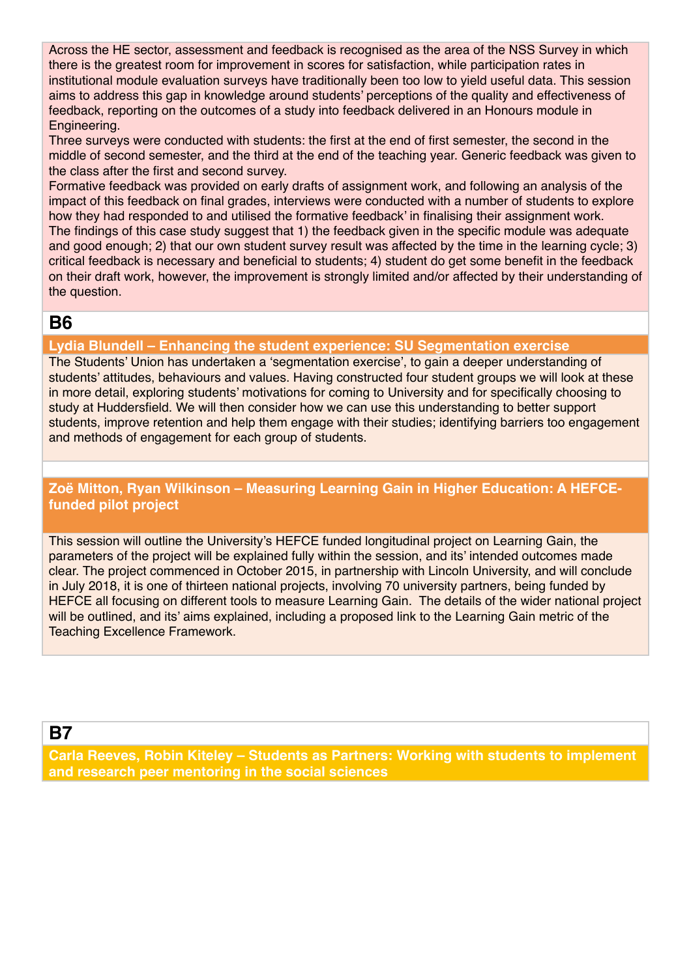Across the HE sector, assessment and feedback is recognised as the area of the NSS Survey in which there is the greatest room for improvement in scores for satisfaction, while participation rates in institutional module evaluation surveys have traditionally been too low to yield useful data. This session aims to address this gap in knowledge around students' perceptions of the quality and effectiveness of feedback, reporting on the outcomes of a study into feedback delivered in an Honours module in Engineering.

Three surveys were conducted with students: the first at the end of first semester, the second in the middle of second semester, and the third at the end of the teaching year. Generic feedback was given to the class after the first and second survey.

Formative feedback was provided on early drafts of assignment work, and following an analysis of the impact of this feedback on final grades, interviews were conducted with a number of students to explore how they had responded to and utilised the formative feedback' in finalising their assignment work. The findings of this case study suggest that 1) the feedback given in the specific module was adequate and good enough; 2) that our own student survey result was affected by the time in the learning cycle; 3) critical feedback is necessary and beneficial to students; 4) student do get some benefit in the feedback on their draft work, however, the improvement is strongly limited and/or affected by their understanding of the question.

## **B6**

### **Lydia Blundell – Enhancing the student experience: SU Segmentation exercise**

The Students' Union has undertaken a 'segmentation exercise', to gain a deeper understanding of students' attitudes, behaviours and values. Having constructed four student groups we will look at these in more detail, exploring students' motivations for coming to University and for specifically choosing to study at Huddersfield. We will then consider how we can use this understanding to better support students, improve retention and help them engage with their studies; identifying barriers too engagement and methods of engagement for each group of students.

### **Zoë Mitton, Ryan Wilkinson – Measuring Learning Gain in Higher Education: A HEFCEfunded pilot project**

This session will outline the University's HEFCE funded longitudinal project on Learning Gain, the parameters of the project will be explained fully within the session, and its' intended outcomes made clear. The project commenced in October 2015, in partnership with Lincoln University, and will conclude in July 2018, it is one of thirteen national projects, involving 70 university partners, being funded by HEFCE all focusing on different tools to measure Learning Gain. The details of the wider national project will be outlined, and its' aims explained, including a proposed link to the Learning Gain metric of the Teaching Excellence Framework.

## **B7**

**Carla Reeves, Robin Kiteley – Students as Partners: Working with students to implement and research peer mentoring in the social sciences**